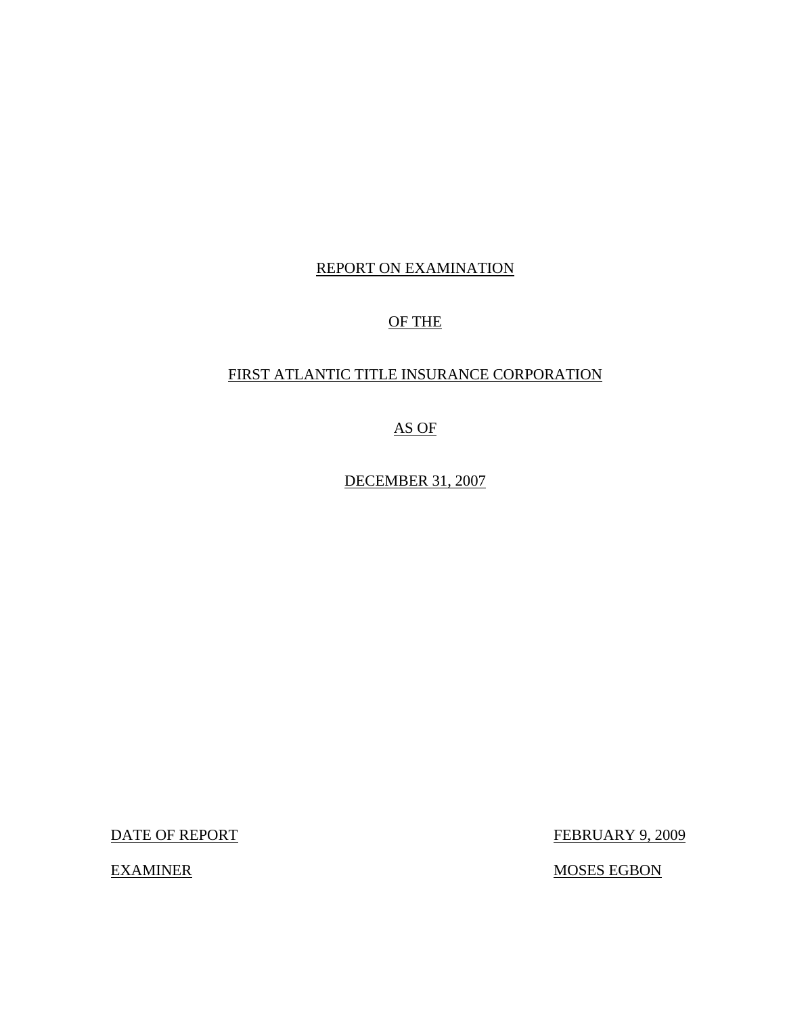# REPORT ON EXAMINATION

# OF THE

# FIRST ATLANTIC TITLE INSURANCE CORPORATION

AS OF

DECEMBER 31, 2007

DATE OF REPORT FEBRUARY 9, 2009

EXAMINER MOSES EGBON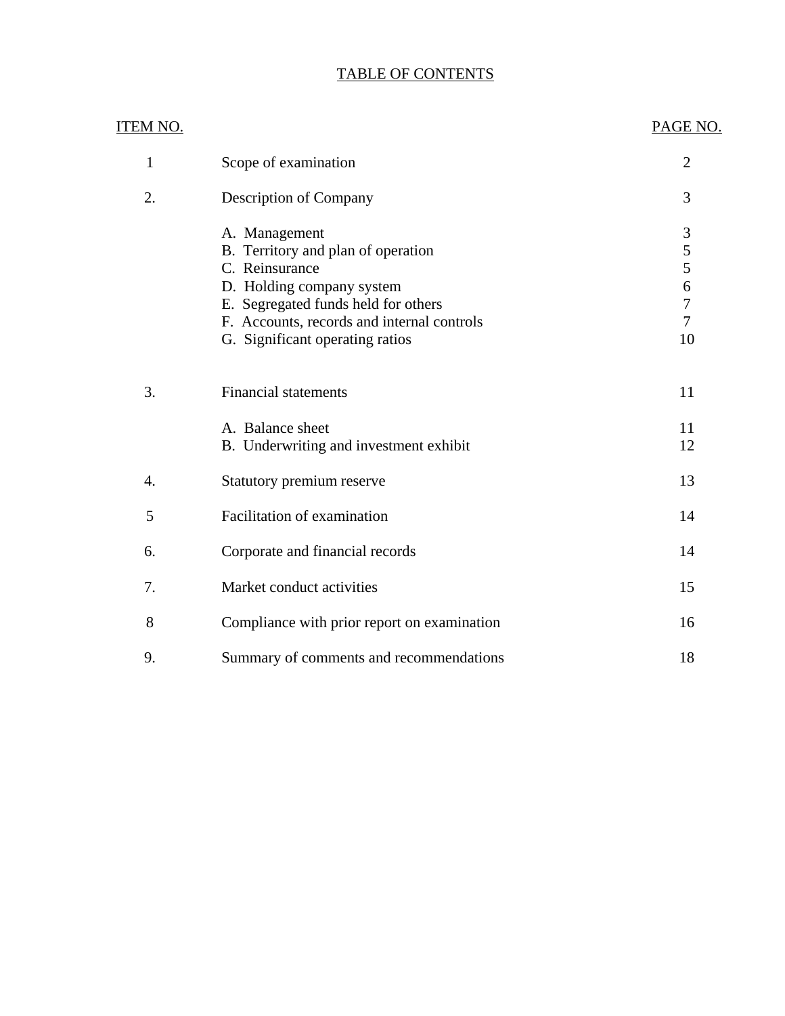# TABLE OF CONTENTS

| <u>ITEM NO.</u> |                                                            | PAGE NO.         |
|-----------------|------------------------------------------------------------|------------------|
| 1               | Scope of examination                                       | $\overline{2}$   |
| 2.              | Description of Company                                     | 3                |
|                 | A. Management                                              | 3                |
|                 | B. Territory and plan of operation                         | 5                |
|                 | C. Reinsurance                                             | 5                |
|                 | D. Holding company system                                  | $\boldsymbol{6}$ |
|                 | E. Segregated funds held for others                        | $\overline{7}$   |
|                 | F. Accounts, records and internal controls                 | $\overline{7}$   |
|                 | G. Significant operating ratios                            | 10               |
| 3.              | <b>Financial statements</b>                                | 11               |
|                 | A. Balance sheet<br>B. Underwriting and investment exhibit | 11<br>12         |
| 4.              | Statutory premium reserve                                  | 13               |
| 5               | Facilitation of examination                                | 14               |
| 6.              | Corporate and financial records                            | 14               |
| 7.              | Market conduct activities                                  | 15               |
| 8               | Compliance with prior report on examination                | 16               |
| 9.              | Summary of comments and recommendations                    | 18               |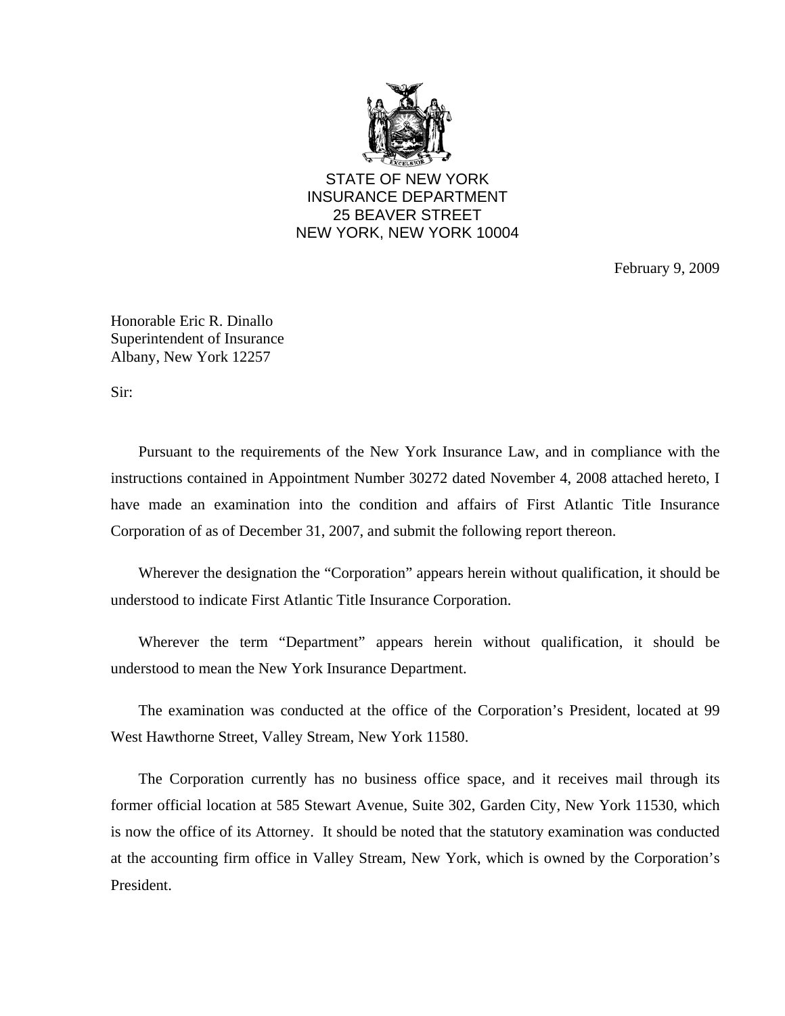

STATE OF NEW YORK INSURANCE DEPARTMENT 25 BEAVER STREET NEW YORK, NEW YORK 10004

February 9, 2009

Honorable Eric R. Dinallo Superintendent of Insurance Albany, New York 12257

Sir:

 Pursuant to the requirements of the New York Insurance Law, and in compliance with the instructions contained in Appointment Number 30272 dated November 4, 2008 attached hereto, I have made an examination into the condition and affairs of First Atlantic Title Insurance Corporation of as of December 31, 2007, and submit the following report thereon.

 Wherever the designation the "Corporation" appears herein without qualification, it should be understood to indicate First Atlantic Title Insurance Corporation.

 Wherever the term "Department" appears herein without qualification, it should be understood to mean the New York Insurance Department.

 The examination was conducted at the office of the Corporation's President, located at 99 West Hawthorne Street, Valley Stream, New York 11580.

 The Corporation currently has no business office space, and it receives mail through its former official location at 585 Stewart Avenue, Suite 302, Garden City, New York 11530, which is now the office of its Attorney. It should be noted that the statutory examination was conducted at the accounting firm office in Valley Stream, New York, which is owned by the Corporation's President.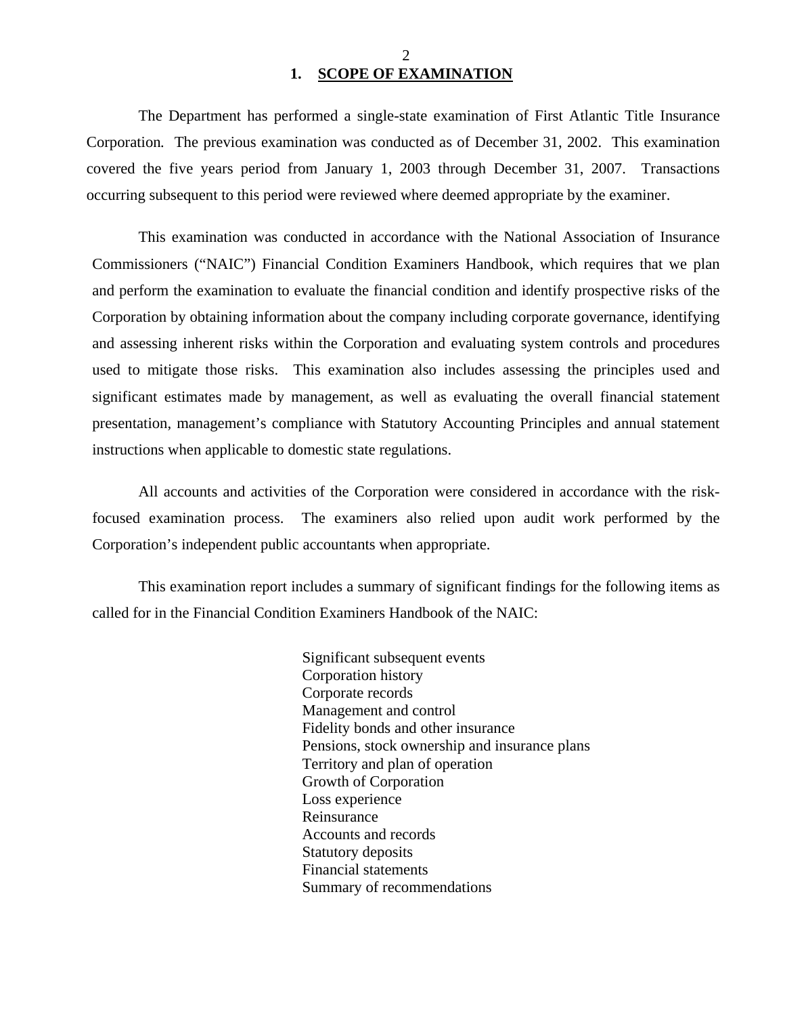## 2 **1. SCOPE OF EXAMINATION**

 The Department has performed a single-state examination of First Atlantic Title Insurance Corporation*.* The previous examination was conducted as of December 31, 2002. This examination covered the five years period from January 1, 2003 through December 31, 2007. Transactions occurring subsequent to this period were reviewed where deemed appropriate by the examiner.

 This examination was conducted in accordance with the National Association of Insurance Commissioners ("NAIC") Financial Condition Examiners Handbook, which requires that we plan and perform the examination to evaluate the financial condition and identify prospective risks of the Corporation by obtaining information about the company including corporate governance, identifying and assessing inherent risks within the Corporation and evaluating system controls and procedures used to mitigate those risks. This examination also includes assessing the principles used and significant estimates made by management, as well as evaluating the overall financial statement presentation, management's compliance with Statutory Accounting Principles and annual statement instructions when applicable to domestic state regulations.

 All accounts and activities of the Corporation were considered in accordance with the riskfocused examination process. The examiners also relied upon audit work performed by the Corporation's independent public accountants when appropriate.

 This examination report includes a summary of significant findings for the following items as called for in the Financial Condition Examiners Handbook of the NAIC:

> Significant subsequent events Corporation history Corporate records Management and control Fidelity bonds and other insurance Pensions, stock ownership and insurance plans Territory and plan of operation Growth of Corporation Loss experience Reinsurance Accounts and records Statutory deposits Financial statements Summary of recommendations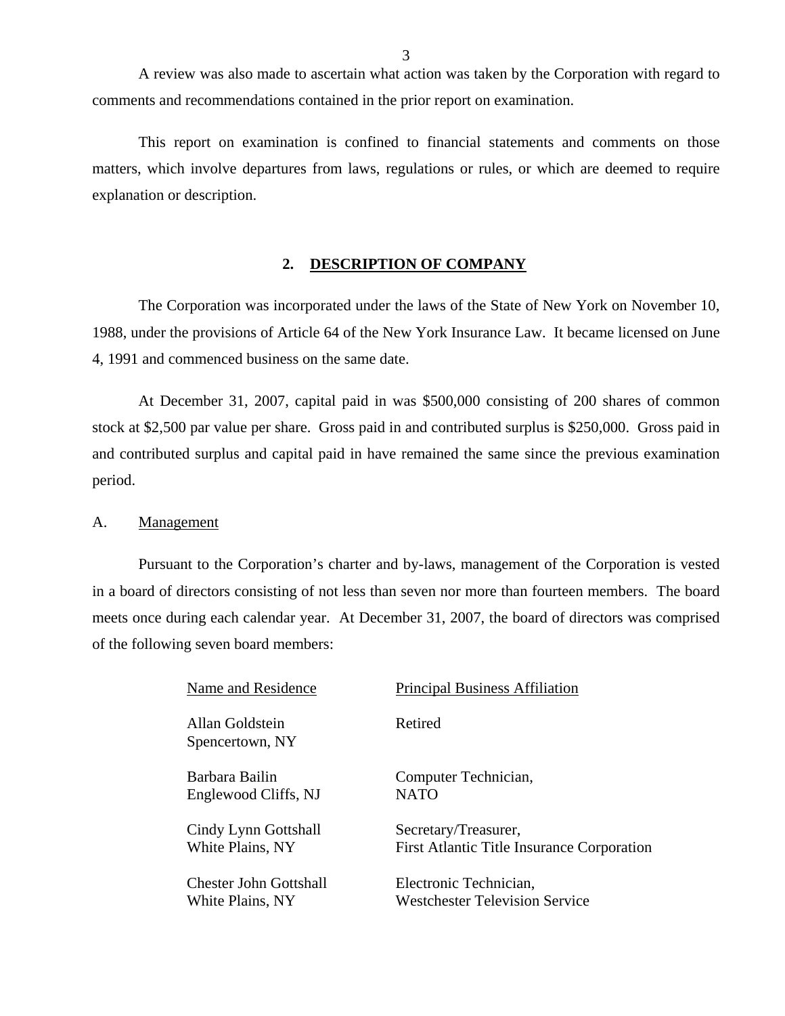A review was also made to ascertain what action was taken by the Corporation with regard to comments and recommendations contained in the prior report on examination.

 This report on examination is confined to financial statements and comments on those matters, which involve departures from laws, regulations or rules, or which are deemed to require explanation or description.

#### **2. DESCRIPTION OF COMPANY**

 The Corporation was incorporated under the laws of the State of New York on November 10, 1988, under the provisions of Article 64 of the New York Insurance Law. It became licensed on June 4, 1991 and commenced business on the same date.

 At December 31, 2007, capital paid in was \$500,000 consisting of 200 shares of common stock at \$2,500 par value per share. Gross paid in and contributed surplus is \$250,000. Gross paid in and contributed surplus and capital paid in have remained the same since the previous examination period.

#### A. Management

 Pursuant to the Corporation's charter and by-laws, management of the Corporation is vested in a board of directors consisting of not less than seven nor more than fourteen members. The board meets once during each calendar year. At December 31, 2007, the board of directors was comprised of the following seven board members:

| Name and Residence                 | <b>Principal Business Affiliation</b>             |
|------------------------------------|---------------------------------------------------|
| Allan Goldstein<br>Spencertown, NY | Retired                                           |
| Barbara Bailin                     | Computer Technician,                              |
| Englewood Cliffs, NJ               | <b>NATO</b>                                       |
| Cindy Lynn Gottshall               | Secretary/Treasurer,                              |
| White Plains, NY                   | <b>First Atlantic Title Insurance Corporation</b> |
| Chester John Gottshall             | Electronic Technician,                            |
| White Plains, NY                   | <b>Westchester Television Service</b>             |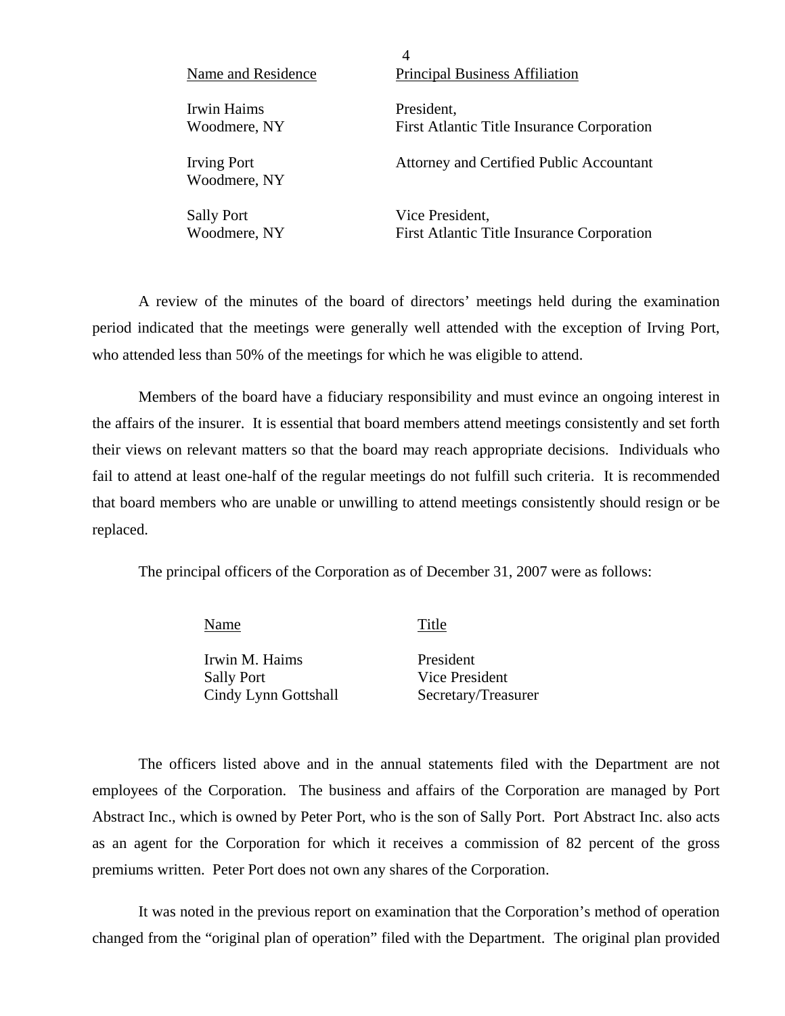| Name and Residence                 | 4<br><b>Principal Business Affiliation</b>        |
|------------------------------------|---------------------------------------------------|
| Irwin Haims                        | President,                                        |
| Woodmere, NY                       | <b>First Atlantic Title Insurance Corporation</b> |
| <b>Irving Port</b><br>Woodmere, NY | Attorney and Certified Public Accountant          |
| <b>Sally Port</b>                  | Vice President,                                   |
| Woodmere, NY                       | <b>First Atlantic Title Insurance Corporation</b> |

 A review of the minutes of the board of directors' meetings held during the examination period indicated that the meetings were generally well attended with the exception of Irving Port, who attended less than 50% of the meetings for which he was eligible to attend.

 Members of the board have a fiduciary responsibility and must evince an ongoing interest in the affairs of the insurer. It is essential that board members attend meetings consistently and set forth their views on relevant matters so that the board may reach appropriate decisions. Individuals who fail to attend at least one-half of the regular meetings do not fulfill such criteria. It is recommended that board members who are unable or unwilling to attend meetings consistently should resign or be replaced.

The principal officers of the Corporation as of December 31, 2007 were as follows:

| Name                 | Title               |
|----------------------|---------------------|
| Irwin M. Haims       | President           |
| <b>Sally Port</b>    | Vice President      |
| Cindy Lynn Gottshall | Secretary/Treasurer |

 The officers listed above and in the annual statements filed with the Department are not employees of the Corporation. The business and affairs of the Corporation are managed by Port Abstract Inc., which is owned by Peter Port, who is the son of Sally Port. Port Abstract Inc. also acts as an agent for the Corporation for which it receives a commission of 82 percent of the gross premiums written. Peter Port does not own any shares of the Corporation.

 It was noted in the previous report on examination that the Corporation's method of operation changed from the "original plan of operation" filed with the Department. The original plan provided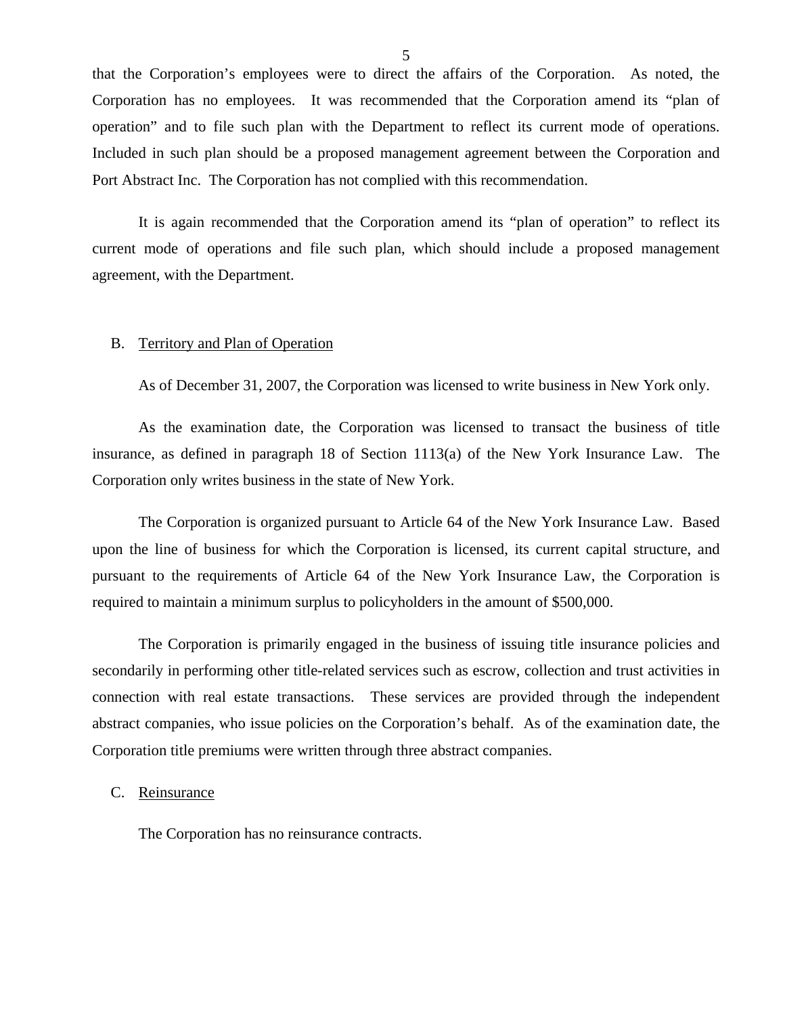that the Corporation's employees were to direct the affairs of the Corporation. As noted, the Corporation has no employees. It was recommended that the Corporation amend its "plan of operation" and to file such plan with the Department to reflect its current mode of operations. Included in such plan should be a proposed management agreement between the Corporation and Port Abstract Inc. The Corporation has not complied with this recommendation.

 It is again recommended that the Corporation amend its "plan of operation" to reflect its current mode of operations and file such plan, which should include a proposed management agreement, with the Department.

#### B. Territory and Plan of Operation

As of December 31, 2007, the Corporation was licensed to write business in New York only.

 As the examination date, the Corporation was licensed to transact the business of title insurance, as defined in paragraph 18 of Section 1113(a) of the New York Insurance Law. The Corporation only writes business in the state of New York.

 The Corporation is organized pursuant to Article 64 of the New York Insurance Law. Based upon the line of business for which the Corporation is licensed, its current capital structure, and pursuant to the requirements of Article 64 of the New York Insurance Law, the Corporation is required to maintain a minimum surplus to policyholders in the amount of \$500,000.

 The Corporation is primarily engaged in the business of issuing title insurance policies and secondarily in performing other title-related services such as escrow, collection and trust activities in connection with real estate transactions. These services are provided through the independent abstract companies, who issue policies on the Corporation's behalf. As of the examination date, the Corporation title premiums were written through three abstract companies.

#### C. Reinsurance

The Corporation has no reinsurance contracts.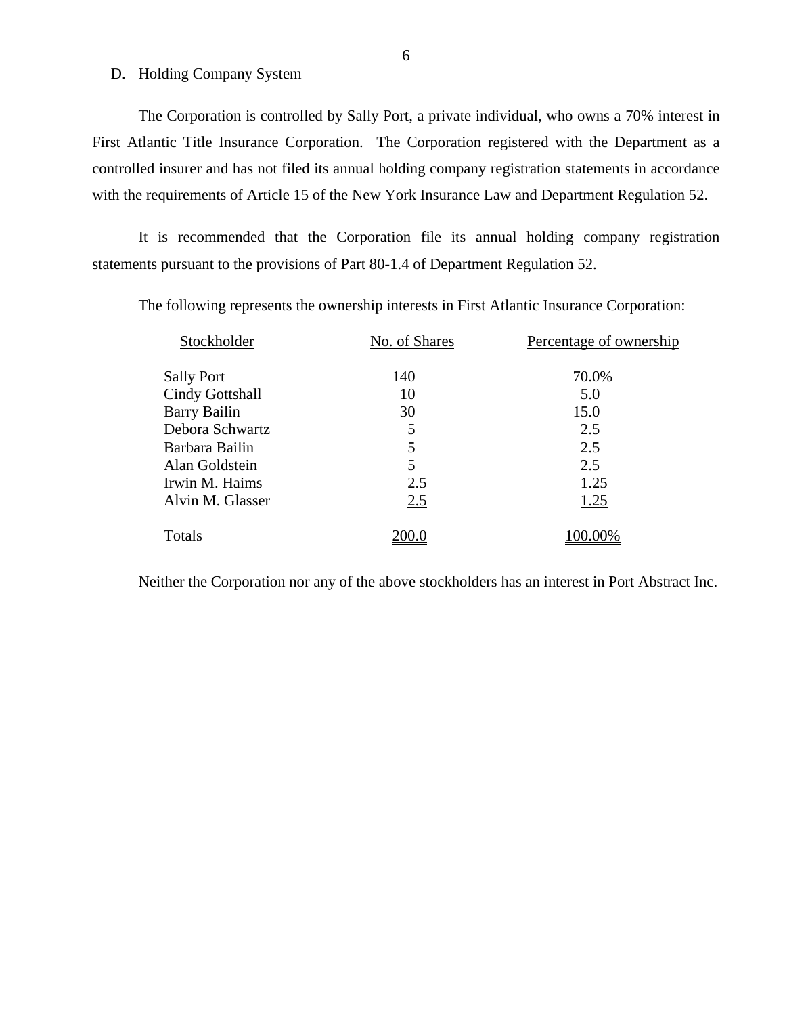### D. Holding Company System

 The Corporation is controlled by Sally Port, a private individual, who owns a 70% interest in First Atlantic Title Insurance Corporation. The Corporation registered with the Department as a controlled insurer and has not filed its annual holding company registration statements in accordance with the requirements of Article 15 of the New York Insurance Law and Department Regulation 52.

 It is recommended that the Corporation file its annual holding company registration statements pursuant to the provisions of Part 80-1.4 of Department Regulation 52.

The following represents the ownership interests in First Atlantic Insurance Corporation:

| Stockholder       | No. of Shares | Percentage of ownership |
|-------------------|---------------|-------------------------|
| <b>Sally Port</b> | 140           | 70.0%                   |
| Cindy Gottshall   | 10            | 5.0                     |
| Barry Bailin      | 30            | 15.0                    |
| Debora Schwartz   | 5             | 2.5                     |
| Barbara Bailin    | 5             | 2.5                     |
| Alan Goldstein    | 5             | 2.5                     |
| Irwin M. Haims    | 2.5           | 1.25                    |
| Alvin M. Glasser  | 2.5           | 1.25                    |
| Totals            |               | 100.00%                 |

Neither the Corporation nor any of the above stockholders has an interest in Port Abstract Inc.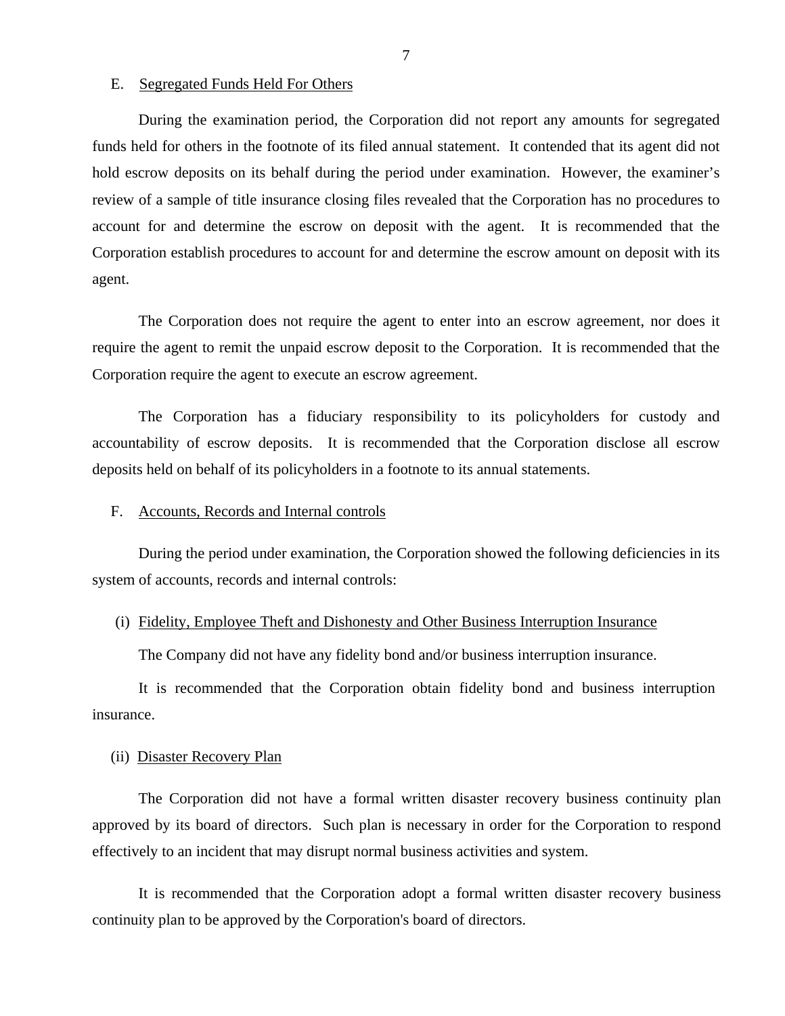#### E. Segregated Funds Held For Others

 During the examination period, the Corporation did not report any amounts for segregated funds held for others in the footnote of its filed annual statement. It contended that its agent did not hold escrow deposits on its behalf during the period under examination. However, the examiner's review of a sample of title insurance closing files revealed that the Corporation has no procedures to account for and determine the escrow on deposit with the agent. It is recommended that the Corporation establish procedures to account for and determine the escrow amount on deposit with its agent.

 The Corporation does not require the agent to enter into an escrow agreement, nor does it require the agent to remit the unpaid escrow deposit to the Corporation. It is recommended that the Corporation require the agent to execute an escrow agreement.

 The Corporation has a fiduciary responsibility to its policyholders for custody and accountability of escrow deposits. It is recommended that the Corporation disclose all escrow deposits held on behalf of its policyholders in a footnote to its annual statements.

#### F. Accounts, Records and Internal controls

 During the period under examination, the Corporation showed the following deficiencies in its system of accounts, records and internal controls:

#### (i) Fidelity, Employee Theft and Dishonesty and Other Business Interruption Insurance

The Company did not have any fidelity bond and/or business interruption insurance.

 It is recommended that the Corporation obtain fidelity bond and business interruption insurance.

#### (ii) Disaster Recovery Plan

 The Corporation did not have a formal written disaster recovery business continuity plan approved by its board of directors. Such plan is necessary in order for the Corporation to respond effectively to an incident that may disrupt normal business activities and system.

 It is recommended that the Corporation adopt a formal written disaster recovery business continuity plan to be approved by the Corporation's board of directors.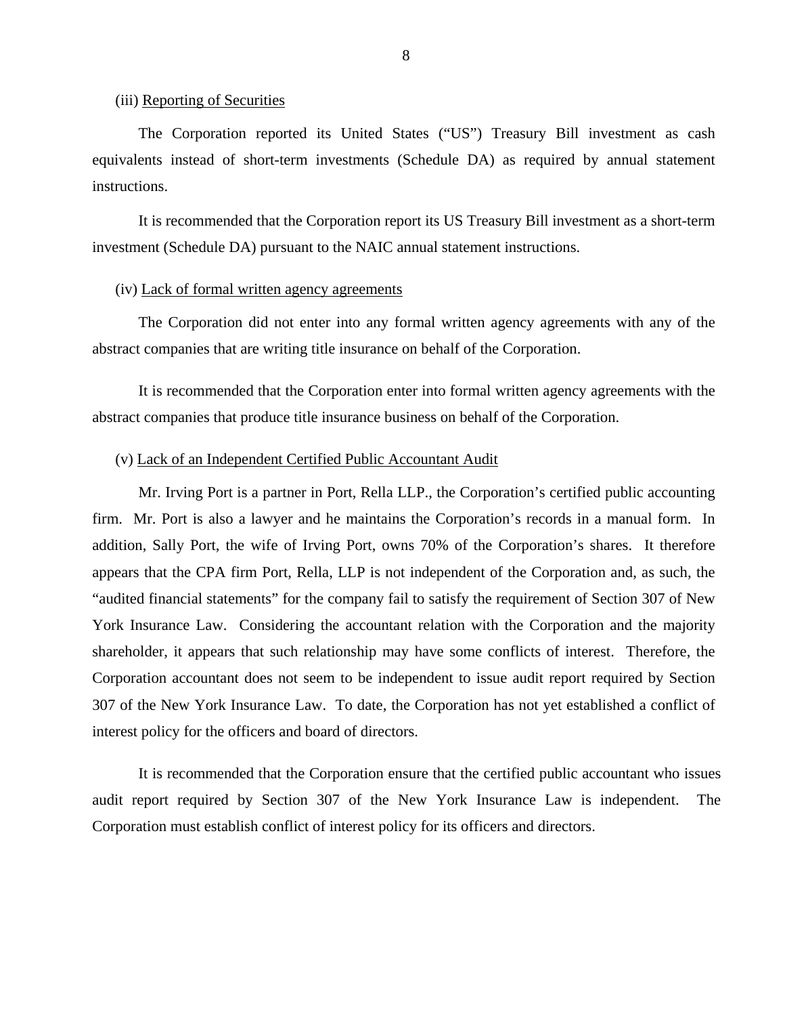#### (iii) Reporting of Securities

 The Corporation reported its United States ("US") Treasury Bill investment as cash equivalents instead of short-term investments (Schedule DA) as required by annual statement instructions.

 It is recommended that the Corporation report its US Treasury Bill investment as a short-term investment (Schedule DA) pursuant to the NAIC annual statement instructions.

#### (iv) Lack of formal written agency agreements

 The Corporation did not enter into any formal written agency agreements with any of the abstract companies that are writing title insurance on behalf of the Corporation.

 It is recommended that the Corporation enter into formal written agency agreements with the abstract companies that produce title insurance business on behalf of the Corporation.

#### (v) Lack of an Independent Certified Public Accountant Audit

 Mr. Irving Port is a partner in Port, Rella LLP., the Corporation's certified public accounting firm. Mr. Port is also a lawyer and he maintains the Corporation's records in a manual form. In addition, Sally Port, the wife of Irving Port, owns 70% of the Corporation's shares. It therefore appears that the CPA firm Port, Rella, LLP is not independent of the Corporation and, as such, the "audited financial statements" for the company fail to satisfy the requirement of Section 307 of New York Insurance Law. Considering the accountant relation with the Corporation and the majority shareholder, it appears that such relationship may have some conflicts of interest. Therefore, the Corporation accountant does not seem to be independent to issue audit report required by Section 307 of the New York Insurance Law. To date, the Corporation has not yet established a conflict of interest policy for the officers and board of directors.

 It is recommended that the Corporation ensure that the certified public accountant who issues audit report required by Section 307 of the New York Insurance Law is independent. The Corporation must establish conflict of interest policy for its officers and directors.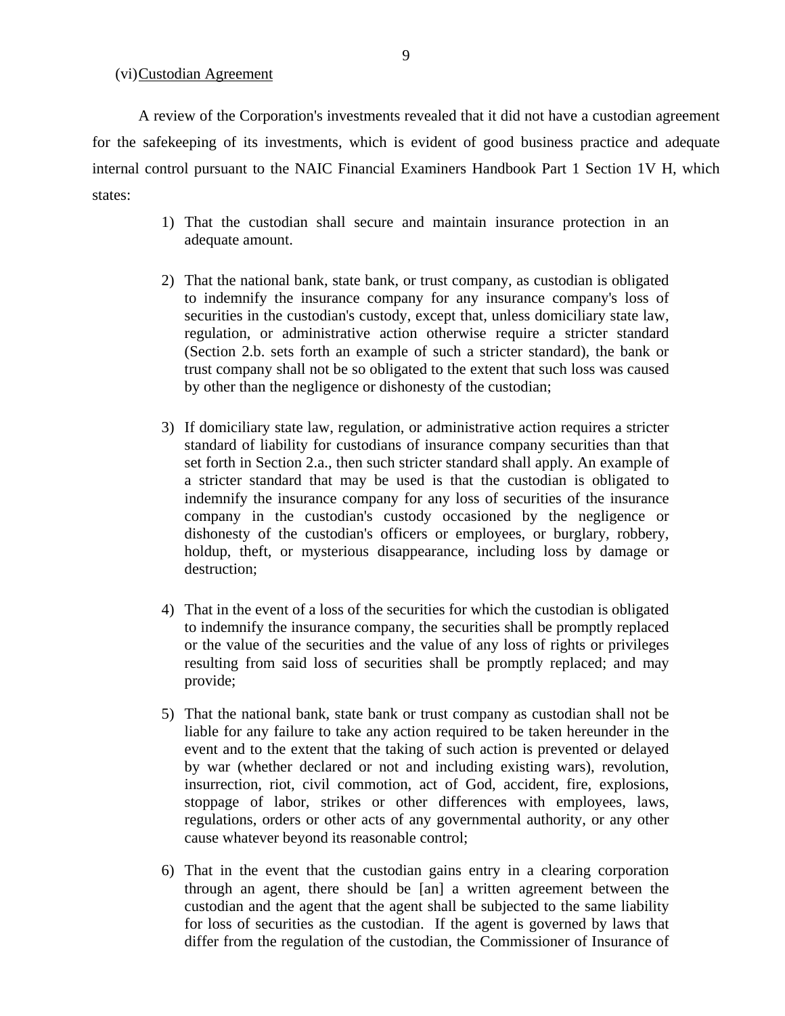(vi) Custodian Agreement

A review of the Corporation's investments revealed that it did not have a custodian agreement for the safekeeping of its investments, which is evident of good business practice and adequate internal control pursuant to the NAIC Financial Examiners Handbook Part 1 Section 1V H, which states:

- 1) That the custodian shall secure and maintain insurance protection in an adequate amount.
- 2) That the national bank, state bank, or trust company, as custodian is obligated to indemnify the insurance company for any insurance company's loss of securities in the custodian's custody, except that, unless domiciliary state law, regulation, or administrative action otherwise require a stricter standard (Section 2.b. sets forth an example of such a stricter standard), the bank or trust company shall not be so obligated to the extent that such loss was caused by other than the negligence or dishonesty of the custodian;
- 3) If domiciliary state law, regulation, or administrative action requires a stricter standard of liability for custodians of insurance company securities than that set forth in Section 2.a., then such stricter standard shall apply. An example of a stricter standard that may be used is that the custodian is obligated to indemnify the insurance company for any loss of securities of the insurance company in the custodian's custody occasioned by the negligence or dishonesty of the custodian's officers or employees, or burglary, robbery, holdup, theft, or mysterious disappearance, including loss by damage or destruction;
- 4) That in the event of a loss of the securities for which the custodian is obligated to indemnify the insurance company, the securities shall be promptly replaced or the value of the securities and the value of any loss of rights or privileges resulting from said loss of securities shall be promptly replaced; and may provide;
- 5) That the national bank, state bank or trust company as custodian shall not be liable for any failure to take any action required to be taken hereunder in the event and to the extent that the taking of such action is prevented or delayed by war (whether declared or not and including existing wars), revolution, insurrection, riot, civil commotion, act of God, accident, fire, explosions, stoppage of labor, strikes or other differences with employees, laws, regulations, orders or other acts of any governmental authority, or any other cause whatever beyond its reasonable control;
- 6) That in the event that the custodian gains entry in a clearing corporation through an agent, there should be [an] a written agreement between the custodian and the agent that the agent shall be subjected to the same liability for loss of securities as the custodian. If the agent is governed by laws that differ from the regulation of the custodian, the Commissioner of Insurance of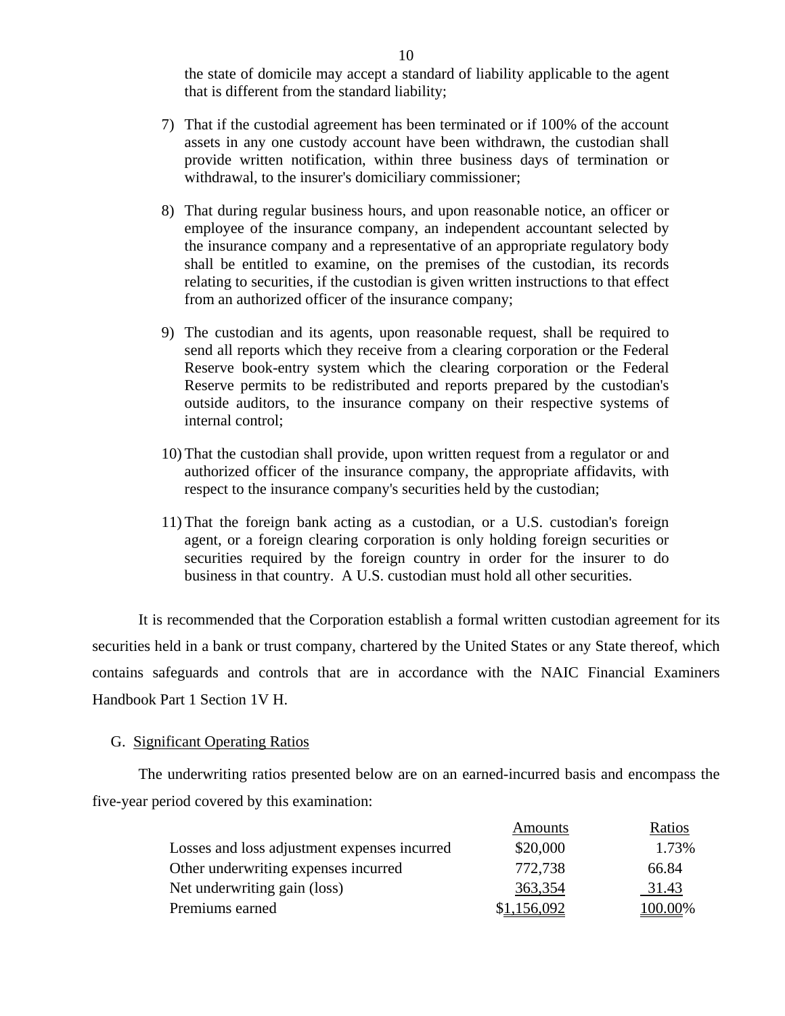the state of domicile may accept a standard of liability applicable to the agent that is different from the standard liability;

- 7) That if the custodial agreement has been terminated or if 100% of the account assets in any one custody account have been withdrawn, the custodian shall provide written notification, within three business days of termination or withdrawal, to the insurer's domiciliary commissioner;
- 8) That during regular business hours, and upon reasonable notice, an officer or employee of the insurance company, an independent accountant selected by the insurance company and a representative of an appropriate regulatory body shall be entitled to examine, on the premises of the custodian, its records relating to securities, if the custodian is given written instructions to that effect from an authorized officer of the insurance company;
- 9) The custodian and its agents, upon reasonable request, shall be required to send all reports which they receive from a clearing corporation or the Federal Reserve book-entry system which the clearing corporation or the Federal Reserve permits to be redistributed and reports prepared by the custodian's outside auditors, to the insurance company on their respective systems of internal control;
- 10) That the custodian shall provide, upon written request from a regulator or and authorized officer of the insurance company, the appropriate affidavits, with respect to the insurance company's securities held by the custodian;
- 11) That the foreign bank acting as a custodian, or a U.S. custodian's foreign agent, or a foreign clearing corporation is only holding foreign securities or securities required by the foreign country in order for the insurer to do business in that country. A U.S. custodian must hold all other securities.

 It is recommended that the Corporation establish a formal written custodian agreement for its securities held in a bank or trust company, chartered by the United States or any State thereof, which contains safeguards and controls that are in accordance with the NAIC Financial Examiners Handbook Part 1 Section 1V H.

#### G. Significant Operating Ratios

 The underwriting ratios presented below are on an earned-incurred basis and encompass the five-year period covered by this examination:

|                                              | Amounts     | Ratios  |
|----------------------------------------------|-------------|---------|
| Losses and loss adjustment expenses incurred | \$20,000    | 1.73%   |
| Other underwriting expenses incurred         | 772,738     | 66.84   |
| Net underwriting gain (loss)                 | 363,354     | 31.43   |
| Premiums earned                              | \$1,156,092 | 100.00% |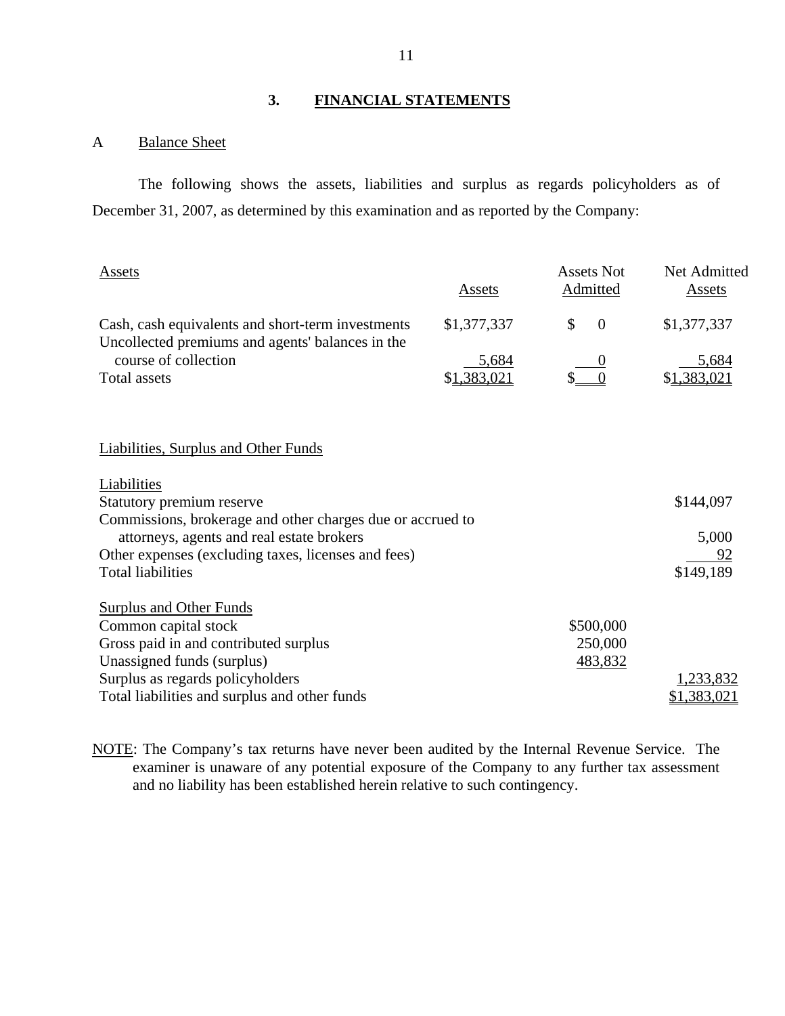# **3. FINANCIAL STATEMENTS**

## A Balance Sheet

 The following shows the assets, liabilities and surplus as regards policyholders as of December 31, 2007, as determined by this examination and as reported by the Company:

| Assets                                                                                                | Assets      | <b>Assets Not</b><br>Admitted | Net Admitted<br>Assets |
|-------------------------------------------------------------------------------------------------------|-------------|-------------------------------|------------------------|
| Cash, cash equivalents and short-term investments<br>Uncollected premiums and agents' balances in the | \$1,377,337 | $\mathcal{S}$<br>$\theta$     | \$1,377,337            |
| course of collection                                                                                  | 5,684       |                               | 5,684                  |
| <b>Total assets</b>                                                                                   | \$1,383,021 |                               | \$1,383,021            |
| <b>Liabilities, Surplus and Other Funds</b>                                                           |             |                               |                        |
| Liabilities                                                                                           |             |                               |                        |
| Statutory premium reserve                                                                             |             |                               | \$144,097              |
| Commissions, brokerage and other charges due or accrued to                                            |             |                               |                        |
| attorneys, agents and real estate brokers                                                             |             |                               | 5,000                  |
| Other expenses (excluding taxes, licenses and fees)                                                   |             |                               | <u>92</u>              |
| <b>Total liabilities</b>                                                                              |             |                               | \$149,189              |
| <b>Surplus and Other Funds</b>                                                                        |             |                               |                        |
| Common capital stock                                                                                  |             | \$500,000                     |                        |
| Gross paid in and contributed surplus                                                                 |             | 250,000                       |                        |
| Unassigned funds (surplus)                                                                            |             | 483,832                       |                        |
| Surplus as regards policyholders                                                                      |             |                               | 1,233,832              |
| Total liabilities and surplus and other funds                                                         |             |                               | 1,383,021              |

NOTE: The Company's tax returns have never been audited by the Internal Revenue Service. The examiner is unaware of any potential exposure of the Company to any further tax assessment and no liability has been established herein relative to such contingency.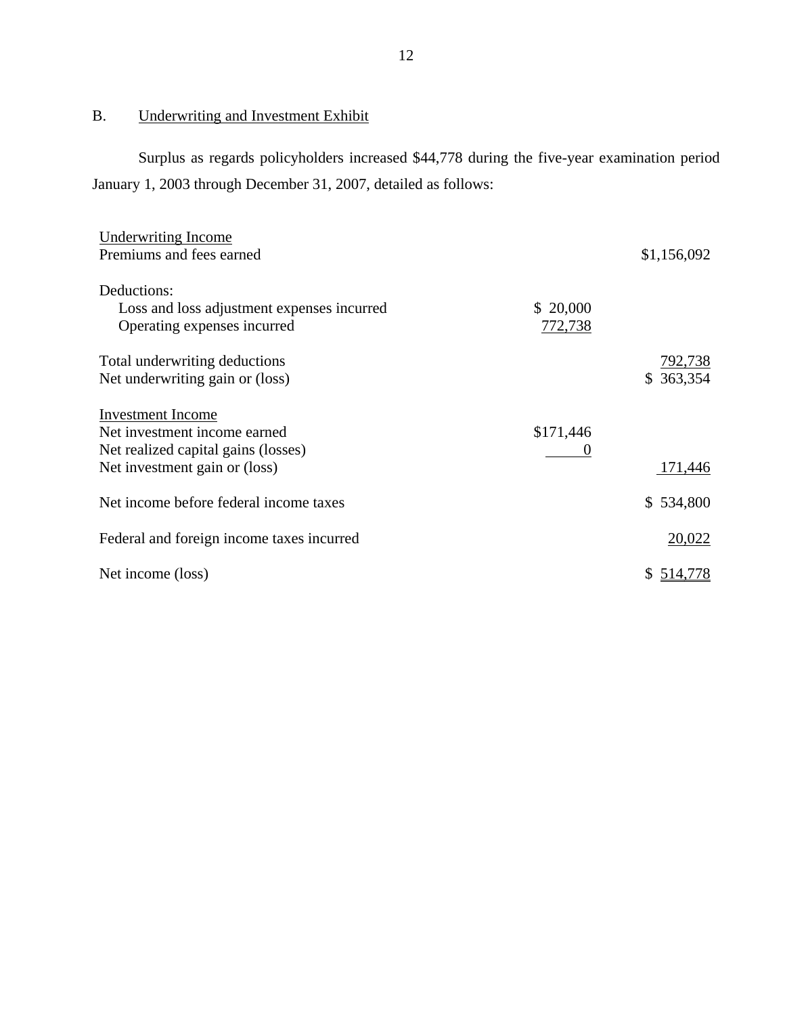# B. Underwriting and Investment Exhibit

 Surplus as regards policyholders increased \$44,778 during the five-year examination period January 1, 2003 through December 31, 2007, detailed as follows:

| <b>Underwriting Income</b>                 |           |             |
|--------------------------------------------|-----------|-------------|
| Premiums and fees earned                   |           | \$1,156,092 |
| Deductions:                                |           |             |
| Loss and loss adjustment expenses incurred | \$20,000  |             |
| Operating expenses incurred                | 772,738   |             |
| Total underwriting deductions              |           | 792,738     |
| Net underwriting gain or (loss)            |           | \$363,354   |
| <b>Investment</b> Income                   |           |             |
| Net investment income earned               | \$171,446 |             |
| Net realized capital gains (losses)        | O         |             |
| Net investment gain or (loss)              |           | 171,446     |
| Net income before federal income taxes     |           | \$534,800   |
| Federal and foreign income taxes incurred  |           | 20,022      |
| Net income (loss)                          |           | \$514,778   |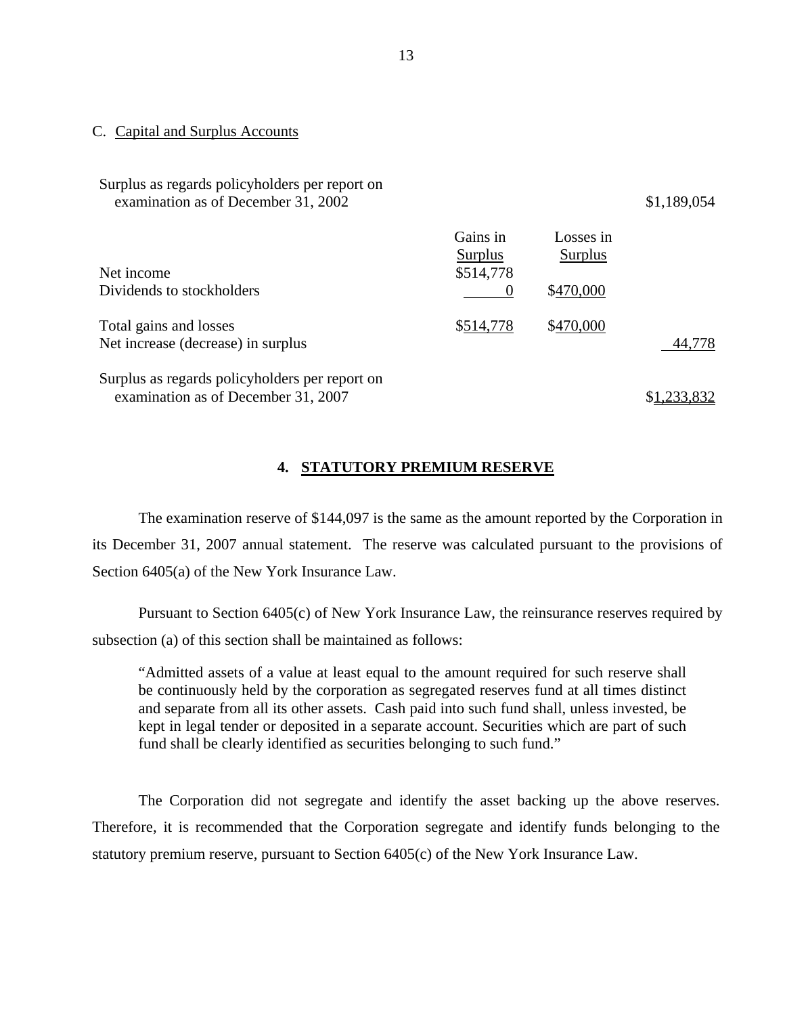#### C. Capital and Surplus Accounts

Surplus as regards policyholders per report on

| examination as of December 31, 2002                                                   |                                  |                      | \$1,189,054 |
|---------------------------------------------------------------------------------------|----------------------------------|----------------------|-------------|
| Net income                                                                            | Gains in<br>Surplus<br>\$514,778 | Losses in<br>Surplus |             |
| Dividends to stockholders                                                             | $\theta$                         | \$470,000            |             |
| Total gains and losses<br>Net increase (decrease) in surplus                          | \$514,778                        | \$470,000            | 44,778      |
| Surplus as regards policyholders per report on<br>examination as of December 31, 2007 |                                  |                      | \$1,233,832 |

#### **4. STATUTORY PREMIUM RESERVE**

 The examination reserve of \$144,097 is the same as the amount reported by the Corporation in its December 31, 2007 annual statement. The reserve was calculated pursuant to the provisions of Section 6405(a) of the New York Insurance Law.

 Pursuant to Section 6405(c) of New York Insurance Law, the reinsurance reserves required by subsection (a) of this section shall be maintained as follows:

"Admitted assets of a value at least equal to the amount required for such reserve shall be continuously held by the corporation as segregated reserves fund at all times distinct and separate from all its other assets. Cash paid into such fund shall, unless invested, be kept in legal tender or deposited in a separate account. Securities which are part of such fund shall be clearly identified as securities belonging to such fund."

 The Corporation did not segregate and identify the asset backing up the above reserves. Therefore, it is recommended that the Corporation segregate and identify funds belonging to the statutory premium reserve, pursuant to Section 6405(c) of the New York Insurance Law.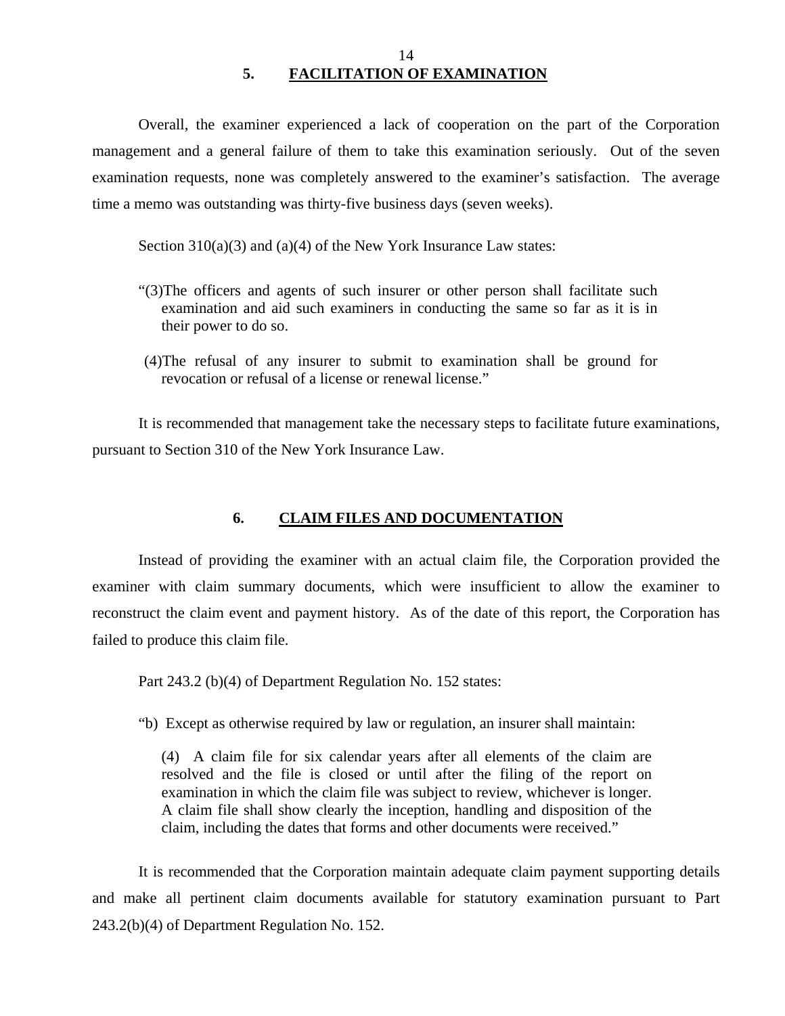Overall, the examiner experienced a lack of cooperation on the part of the Corporation management and a general failure of them to take this examination seriously. Out of the seven examination requests, none was completely answered to the examiner's satisfaction. The average time a memo was outstanding was thirty-five business days (seven weeks).

Section  $310(a)(3)$  and  $(a)(4)$  of the New York Insurance Law states:

- "(3)The officers and agents of such insurer or other person shall facilitate such examination and aid such examiners in conducting the same so far as it is in their power to do so.
- (4)The refusal of any insurer to submit to examination shall be ground for revocation or refusal of a license or renewal license."

 It is recommended that management take the necessary steps to facilitate future examinations, pursuant to Section 310 of the New York Insurance Law.

#### **6. CLAIM FILES AND DOCUMENTATION**

 Instead of providing the examiner with an actual claim file, the Corporation provided the examiner with claim summary documents, which were insufficient to allow the examiner to reconstruct the claim event and payment history. As of the date of this report, the Corporation has failed to produce this claim file.

Part 243.2 (b)(4) of Department Regulation No. 152 states:

"b) Except as otherwise required by law or regulation, an insurer shall maintain:

(4) A claim file for six calendar years after all elements of the claim are resolved and the file is closed or until after the filing of the report on examination in which the claim file was subject to review, whichever is longer. A claim file shall show clearly the inception, handling and disposition of the claim, including the dates that forms and other documents were received."

 It is recommended that the Corporation maintain adequate claim payment supporting details and make all pertinent claim documents available for statutory examination pursuant to Part 243.2(b)(4) of Department Regulation No. 152.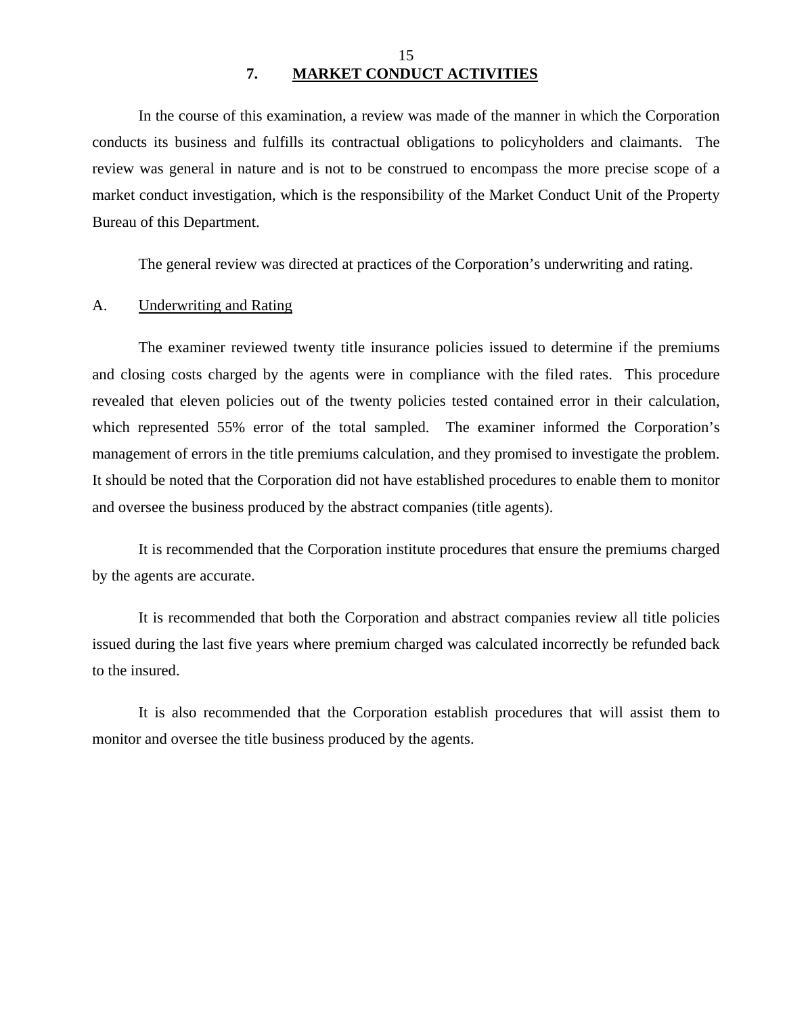In the course of this examination, a review was made of the manner in which the Corporation conducts its business and fulfills its contractual obligations to policyholders and claimants. The review was general in nature and is not to be construed to encompass the more precise scope of a market conduct investigation, which is the responsibility of the Market Conduct Unit of the Property Bureau of this Department.

The general review was directed at practices of the Corporation's underwriting and rating.

#### A. Underwriting and Rating

The examiner reviewed twenty title insurance policies issued to determine if the premiums and closing costs charged by the agents were in compliance with the filed rates. This procedure revealed that eleven policies out of the twenty policies tested contained error in their calculation, which represented 55% error of the total sampled. The examiner informed the Corporation's management of errors in the title premiums calculation, and they promised to investigate the problem. It should be noted that the Corporation did not have established procedures to enable them to monitor and oversee the business produced by the abstract companies (title agents).

It is recommended that the Corporation institute procedures that ensure the premiums charged by the agents are accurate.

It is recommended that both the Corporation and abstract companies review all title policies issued during the last five years where premium charged was calculated incorrectly be refunded back to the insured.

It is also recommended that the Corporation establish procedures that will assist them to monitor and oversee the title business produced by the agents.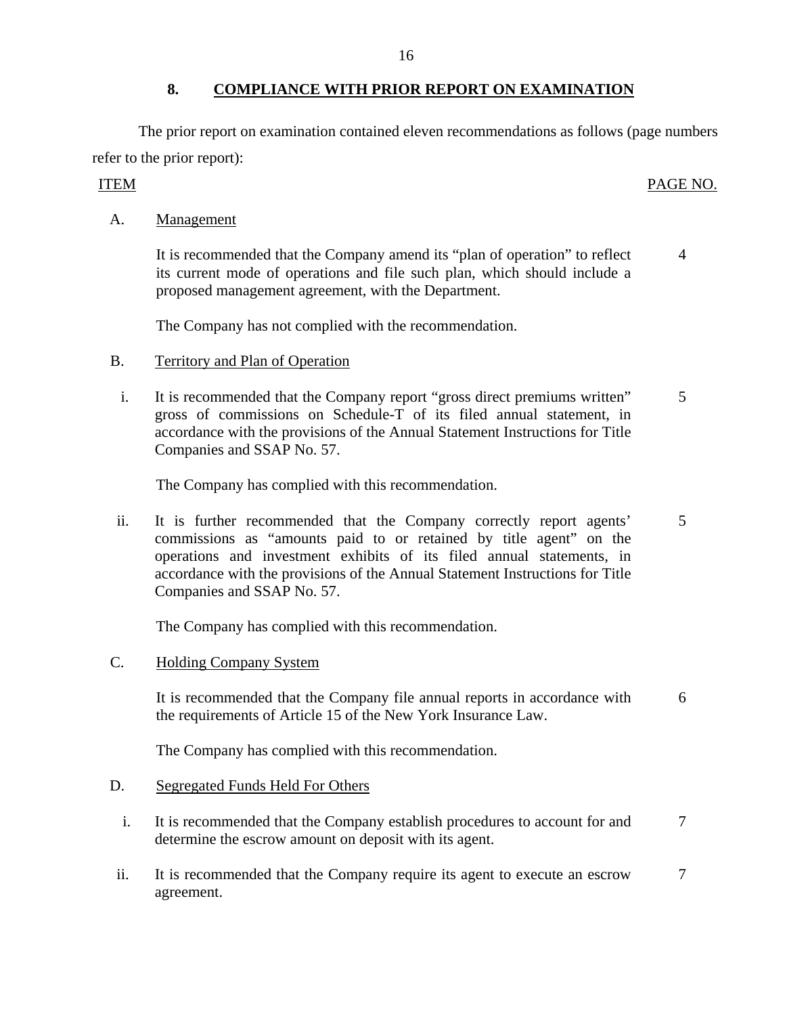## **8. COMPLIANCE WITH PRIOR REPORT ON EXAMINATION**

The prior report on examination contained eleven recommendations as follows (page numbers refer to the prior report):

# ITEM PAGE NO.

4

A. Management

 It is recommended that the Company amend its "plan of operation" to reflect its current mode of operations and file such plan, which should include a proposed management agreement, with the Department.

The Company has not complied with the recommendation.

- B. Territory and Plan of Operation
	- i. It is recommended that the Company report "gross direct premiums written" gross of commissions on Schedule-T of its filed annual statement, in accordance with the provisions of the Annual Statement Instructions for Title Companies and SSAP No. 57. 5

The Company has complied with this recommendation.

 ii. It is further recommended that the Company correctly report agents' commissions as "amounts paid to or retained by title agent" on the operations and investment exhibits of its filed annual statements, in accordance with the provisions of the Annual Statement Instructions for Title Companies and SSAP No. 57. 5

The Company has complied with this recommendation.

C. Holding Company System

 It is recommended that the Company file annual reports in accordance with the requirements of Article 15 of the New York Insurance Law. 6

The Company has complied with this recommendation.

#### D. Segregated Funds Held For Others

- i. It is recommended that the Company establish procedures to account for and determine the escrow amount on deposit with its agent. 7
- ii. It is recommended that the Company require its agent to execute an escrow agreement. 7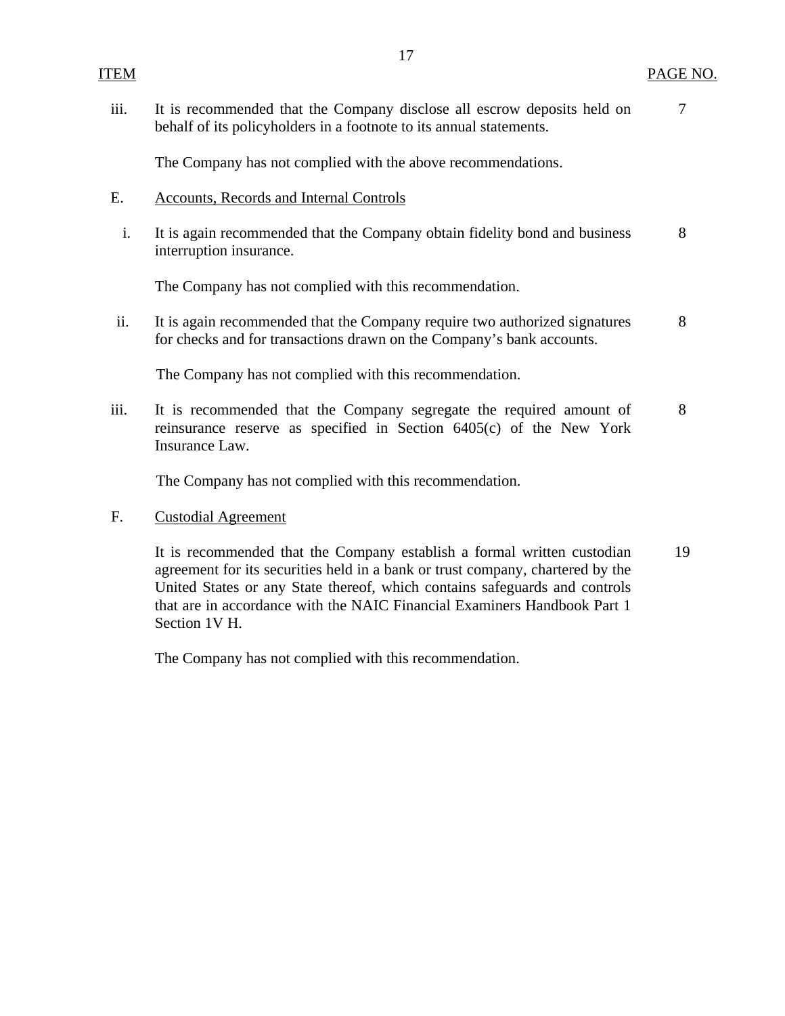| <b>ITEM</b> |                                                                                                                                                              | PAGE NO. |
|-------------|--------------------------------------------------------------------------------------------------------------------------------------------------------------|----------|
| iii.        | It is recommended that the Company disclose all escrow deposits held on<br>behalf of its policyholders in a footnote to its annual statements.               | 7        |
|             | The Company has not complied with the above recommendations.                                                                                                 |          |
| Ε.          | Accounts, Records and Internal Controls                                                                                                                      |          |
| i.          | It is again recommended that the Company obtain fidelity bond and business<br>interruption insurance.                                                        | 8        |
|             | The Company has not complied with this recommendation.                                                                                                       |          |
| ii.         | It is again recommended that the Company require two authorized signatures<br>for checks and for transactions drawn on the Company's bank accounts.          | 8        |
|             | The Company has not complied with this recommendation.                                                                                                       |          |
| iii.        | It is recommended that the Company segregate the required amount of<br>reinsurance reserve as specified in Section 6405(c) of the New York<br>Insurance Law. | 8        |

The Company has not complied with this recommendation.

### F. Custodial Agreement

 It is recommended that the Company establish a formal written custodian agreement for its securities held in a bank or trust company, chartered by the United States or any State thereof, which contains safeguards and controls that are in accordance with the NAIC Financial Examiners Handbook Part 1 Section 1V H. 19

The Company has not complied with this recommendation.

#### 17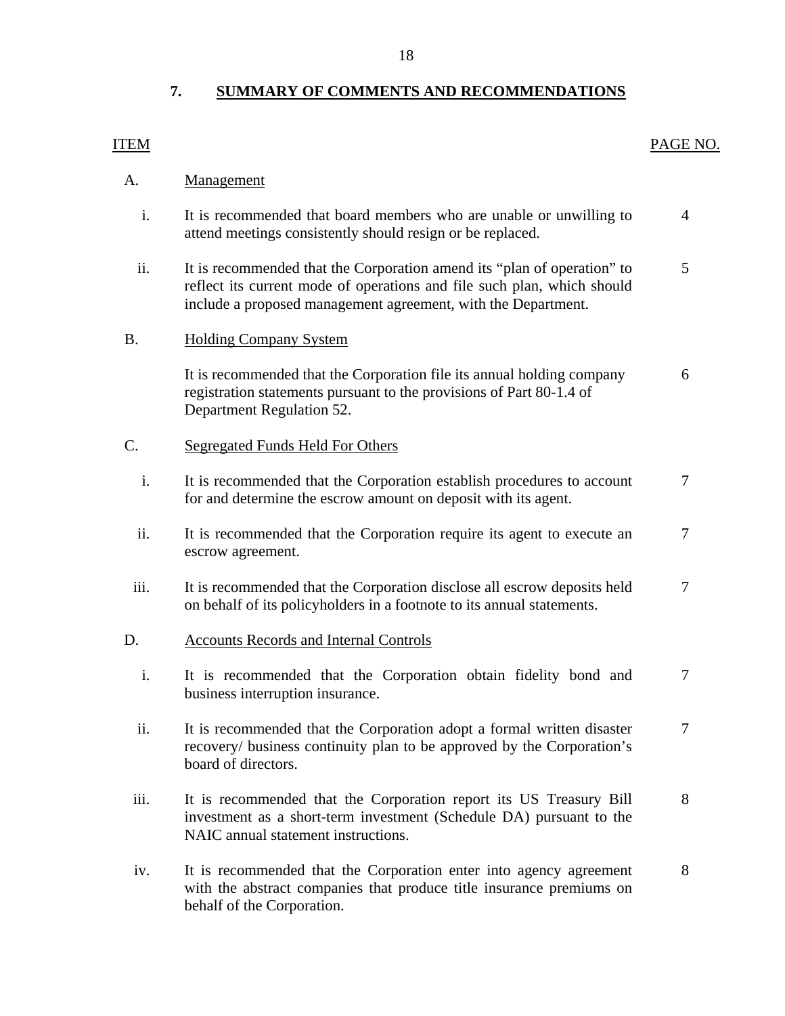# **7. SUMMARY OF COMMENTS AND RECOMMENDATIONS**

# A. Management i. It is recommended that board members who are unable or unwilling to attend meetings consistently should resign or be replaced. 4 ii. It is recommended that the Corporation amend its "plan of operation" to reflect its current mode of operations and file such plan, which should include a proposed management agreement, with the Department. 5

ITEM PAGE NO.

## B. Holding Company System

 It is recommended that the Corporation file its annual holding company registration statements pursuant to the provisions of Part 80-1.4 of Department Regulation 52. 6

#### C. Segregated Funds Held For Others

- i. It is recommended that the Corporation establish procedures to account for and determine the escrow amount on deposit with its agent. 7
- ii. It is recommended that the Corporation require its agent to execute an escrow agreement. 7
- iii. It is recommended that the Corporation disclose all escrow deposits held on behalf of its policyholders in a footnote to its annual statements. 7

#### D. Accounts Records and Internal Controls

- i. It is recommended that the Corporation obtain fidelity bond and business interruption insurance. 7
- ii. It is recommended that the Corporation adopt a formal written disaster recovery/ business continuity plan to be approved by the Corporation's board of directors. 7
- iii. It is recommended that the Corporation report its US Treasury Bill investment as a short-term investment (Schedule DA) pursuant to the NAIC annual statement instructions. 8
- iv. It is recommended that the Corporation enter into agency agreement with the abstract companies that produce title insurance premiums on behalf of the Corporation. 8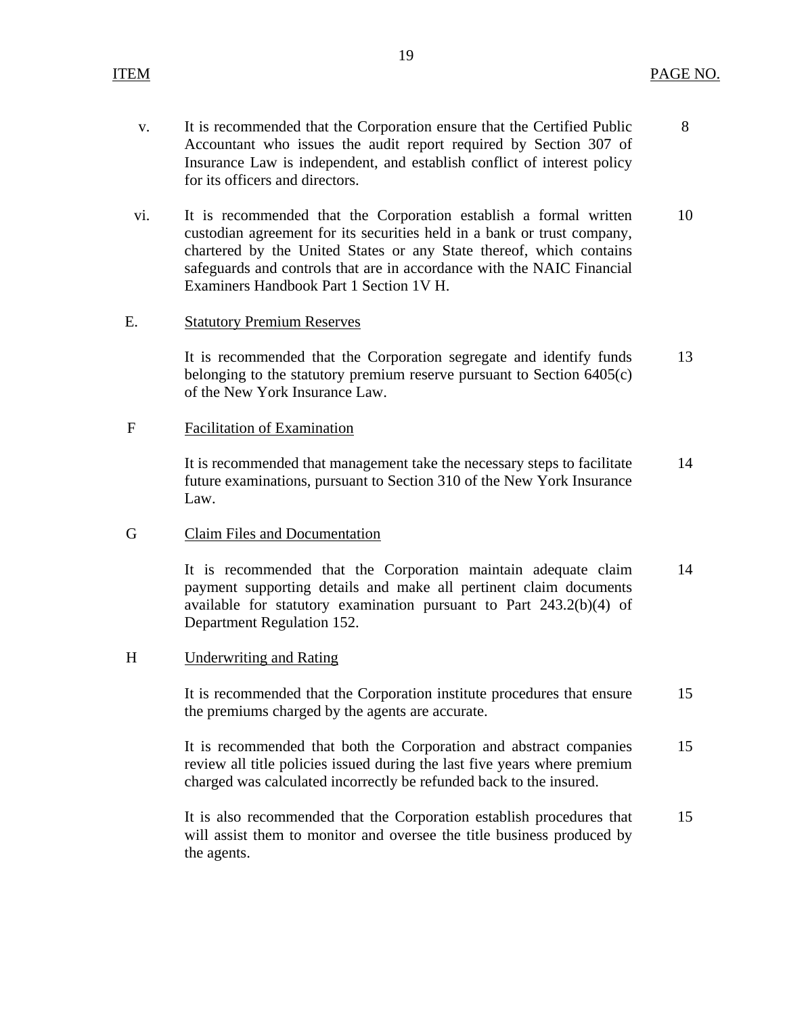8

- v. It is recommended that the Corporation ensure that the Certified Public Accountant who issues the audit report required by Section 307 of Insurance Law is independent, and establish conflict of interest policy for its officers and directors.
- vi. It is recommended that the Corporation establish a formal written custodian agreement for its securities held in a bank or trust company, chartered by the United States or any State thereof, which contains safeguards and controls that are in accordance with the NAIC Financial Examiners Handbook Part 1 Section 1V H. 10

#### E. Statutory Premium Reserves

 It is recommended that the Corporation segregate and identify funds belonging to the statutory premium reserve pursuant to Section 6405(c) of the New York Insurance Law. 13

#### F Facilitation of Examination

 It is recommended that management take the necessary steps to facilitate future examinations, pursuant to Section 310 of the New York Insurance Law. 14

### G Claim Files and Documentation

 It is recommended that the Corporation maintain adequate claim payment supporting details and make all pertinent claim documents available for statutory examination pursuant to Part 243.2(b)(4) of Department Regulation 152. 14

#### H Underwriting and Rating

 It is recommended that the Corporation institute procedures that ensure the premiums charged by the agents are accurate. 15

 It is recommended that both the Corporation and abstract companies review all title policies issued during the last five years where premium charged was calculated incorrectly be refunded back to the insured. 15

 It is also recommended that the Corporation establish procedures that will assist them to monitor and oversee the title business produced by the agents. 15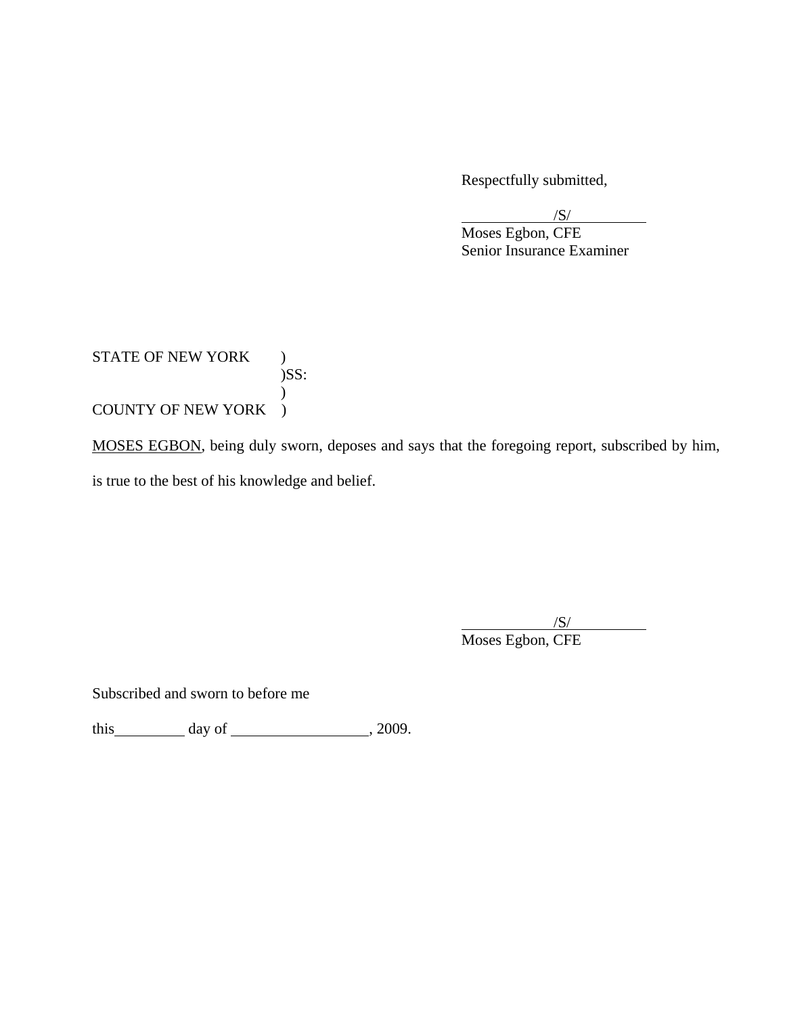Respectfully submitted,

 $/$ S/ $/$ 

 Moses Egbon, CFE Senior Insurance Examiner

STATE OF NEW YORK ) )SS:  $\overline{\phantom{a}}$ COUNTY OF NEW YORK )

MOSES EGBON, being duly sworn, deposes and says that the foregoing report, subscribed by him,

is true to the best of his knowledge and belief.

 $/$ S/ $/$ Moses Egbon, CFE

Subscribed and sworn to before me

this  $\qquad \qquad$  day of  $\qquad \qquad$  , 2009.